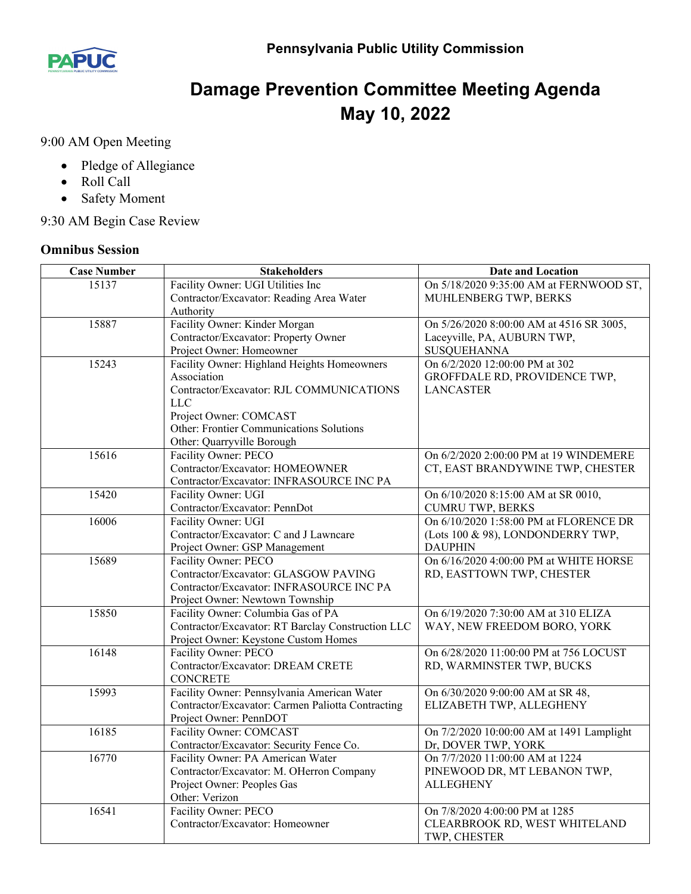

## **Damage Prevention Committee Meeting Agenda May 10, 2022**

9:00 AM Open Meeting

- Pledge of Allegiance
- Roll Call
- Safety Moment

9:30 AM Begin Case Review

## **Omnibus Session**

| <b>Case Number</b> | <b>Stakeholders</b>                               | <b>Date and Location</b>                      |
|--------------------|---------------------------------------------------|-----------------------------------------------|
| 15137              | Facility Owner: UGI Utilities Inc                 | On 5/18/2020 9:35:00 AM at FERNWOOD ST,       |
|                    | Contractor/Excavator: Reading Area Water          | MUHLENBERG TWP, BERKS                         |
|                    | Authority                                         |                                               |
| 15887              | Facility Owner: Kinder Morgan                     | On 5/26/2020 8:00:00 AM at 4516 SR 3005,      |
|                    | Contractor/Excavator: Property Owner              | Laceyville, PA, AUBURN TWP,                   |
|                    | Project Owner: Homeowner                          | SUSQUEHANNA                                   |
| 15243              | Facility Owner: Highland Heights Homeowners       | On 6/2/2020 12:00:00 PM at 302                |
|                    | Association                                       | GROFFDALE RD, PROVIDENCE TWP,                 |
|                    | Contractor/Excavator: RJL COMMUNICATIONS          | <b>LANCASTER</b>                              |
|                    | LLC                                               |                                               |
|                    | Project Owner: COMCAST                            |                                               |
|                    | Other: Frontier Communications Solutions          |                                               |
|                    | Other: Quarryville Borough                        |                                               |
| 15616              | Facility Owner: PECO                              | On 6/2/2020 2:00:00 PM at 19 WINDEMERE        |
|                    | Contractor/Excavator: HOMEOWNER                   | CT, EAST BRANDYWINE TWP, CHESTER              |
|                    | Contractor/Excavator: INFRASOURCE INC PA          |                                               |
| 15420              | Facility Owner: UGI                               | On 6/10/2020 8:15:00 AM at SR 0010,           |
|                    | Contractor/Excavator: PennDot                     | <b>CUMRU TWP, BERKS</b>                       |
| 16006              | Facility Owner: UGI                               | On 6/10/2020 1:58:00 PM at FLORENCE DR        |
|                    | Contractor/Excavator: C and J Lawncare            | (Lots 100 & 98), LONDONDERRY TWP,             |
|                    | Project Owner: GSP Management                     | <b>DAUPHIN</b>                                |
| 15689              | Facility Owner: PECO                              | On 6/16/2020 4:00:00 PM at WHITE HORSE        |
|                    | Contractor/Excavator: GLASGOW PAVING              | RD, EASTTOWN TWP, CHESTER                     |
|                    | Contractor/Excavator: INFRASOURCE INC PA          |                                               |
|                    | Project Owner: Newtown Township                   |                                               |
| 15850              | Facility Owner: Columbia Gas of PA                | On 6/19/2020 7:30:00 AM at 310 ELIZA          |
|                    | Contractor/Excavator: RT Barclay Construction LLC | WAY, NEW FREEDOM BORO, YORK                   |
|                    | Project Owner: Keystone Custom Homes              |                                               |
| 16148              | Facility Owner: PECO                              | On 6/28/2020 11:00:00 PM at 756 LOCUST        |
|                    | Contractor/Excavator: DREAM CRETE                 | RD, WARMINSTER TWP, BUCKS                     |
|                    | <b>CONCRETE</b>                                   |                                               |
| 15993              | Facility Owner: Pennsylvania American Water       | On 6/30/2020 9:00:00 AM at SR 48,             |
|                    | Contractor/Excavator: Carmen Paliotta Contracting | ELIZABETH TWP, ALLEGHENY                      |
|                    | Project Owner: PennDOT                            |                                               |
| 16185              | Facility Owner: COMCAST                           | On 7/2/2020 10:00:00 AM at 1491 Lamplight     |
|                    | Contractor/Excavator: Security Fence Co.          | Dr, DOVER TWP, YORK                           |
| 16770              | Facility Owner: PA American Water                 | On 7/7/2020 11:00:00 AM at 1224               |
|                    | Contractor/Excavator: M. OHerron Company          | PINEWOOD DR, MT LEBANON TWP,                  |
|                    | Project Owner: Peoples Gas                        | <b>ALLEGHENY</b>                              |
| 16541              | Other: Verizon<br>Facility Owner: PECO            |                                               |
|                    | Contractor/Excavator: Homeowner                   | On 7/8/2020 4:00:00 PM at 1285                |
|                    |                                                   | CLEARBROOK RD, WEST WHITELAND<br>TWP, CHESTER |
|                    |                                                   |                                               |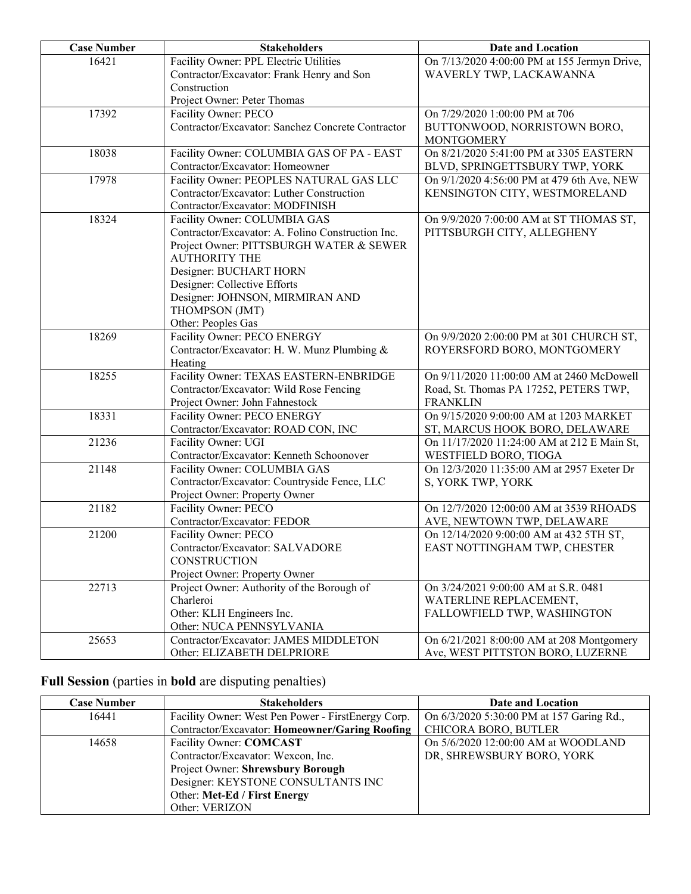| <b>Case Number</b> | <b>Stakeholders</b>                                             | <b>Date and Location</b>                     |
|--------------------|-----------------------------------------------------------------|----------------------------------------------|
| 16421              | Facility Owner: PPL Electric Utilities                          | On 7/13/2020 4:00:00 PM at 155 Jermyn Drive, |
|                    | Contractor/Excavator: Frank Henry and Son                       | WAVERLY TWP, LACKAWANNA                      |
|                    | Construction                                                    |                                              |
|                    | Project Owner: Peter Thomas                                     |                                              |
| 17392              | Facility Owner: PECO                                            | On 7/29/2020 1:00:00 PM at 706               |
|                    | Contractor/Excavator: Sanchez Concrete Contractor               | BUTTONWOOD, NORRISTOWN BORO,                 |
|                    |                                                                 | <b>MONTGOMERY</b>                            |
| 18038              | Facility Owner: COLUMBIA GAS OF PA - EAST                       | On 8/21/2020 5:41:00 PM at 3305 EASTERN      |
|                    | Contractor/Excavator: Homeowner                                 | BLVD, SPRINGETTSBURY TWP, YORK               |
| 17978              | Facility Owner: PEOPLES NATURAL GAS LLC                         | On 9/1/2020 4:56:00 PM at 479 6th Ave, NEW   |
|                    | Contractor/Excavator: Luther Construction                       | KENSINGTON CITY, WESTMORELAND                |
|                    | Contractor/Excavator: MODFINISH                                 |                                              |
| 18324              | Facility Owner: COLUMBIA GAS                                    | On 9/9/2020 7:00:00 AM at ST THOMAS ST,      |
|                    | Contractor/Excavator: A. Folino Construction Inc.               | PITTSBURGH CITY, ALLEGHENY                   |
|                    | Project Owner: PITTSBURGH WATER & SEWER<br><b>AUTHORITY THE</b> |                                              |
|                    | Designer: BUCHART HORN                                          |                                              |
|                    | Designer: Collective Efforts                                    |                                              |
|                    | Designer: JOHNSON, MIRMIRAN AND                                 |                                              |
|                    | THOMPSON (JMT)                                                  |                                              |
|                    | Other: Peoples Gas                                              |                                              |
| 18269              | Facility Owner: PECO ENERGY                                     | On 9/9/2020 2:00:00 PM at 301 CHURCH ST,     |
|                    | Contractor/Excavator: H. W. Munz Plumbing &                     | ROYERSFORD BORO, MONTGOMERY                  |
|                    | Heating                                                         |                                              |
| 18255              | Facility Owner: TEXAS EASTERN-ENBRIDGE                          | On 9/11/2020 11:00:00 AM at 2460 McDowell    |
|                    | Contractor/Excavator: Wild Rose Fencing                         | Road, St. Thomas PA 17252, PETERS TWP,       |
|                    | Project Owner: John Fahnestock                                  | <b>FRANKLIN</b>                              |
| 18331              | Facility Owner: PECO ENERGY                                     | On 9/15/2020 9:00:00 AM at 1203 MARKET       |
|                    | Contractor/Excavator: ROAD CON, INC                             | ST, MARCUS HOOK BORO, DELAWARE               |
| 21236              | Facility Owner: UGI                                             | On 11/17/2020 11:24:00 AM at 212 E Main St,  |
|                    | Contractor/Excavator: Kenneth Schoonover                        | WESTFIELD BORO, TIOGA                        |
| 21148              | Facility Owner: COLUMBIA GAS                                    | On 12/3/2020 11:35:00 AM at 2957 Exeter Dr   |
|                    | Contractor/Excavator: Countryside Fence, LLC                    | S, YORK TWP, YORK                            |
|                    | Project Owner: Property Owner                                   |                                              |
| 21182              | Facility Owner: PECO                                            | On 12/7/2020 12:00:00 AM at 3539 RHOADS      |
| 21200              | Contractor/Excavator: FEDOR                                     | AVE, NEWTOWN TWP, DELAWARE                   |
|                    | Facility Owner: PECO                                            | On 12/14/2020 9:00:00 AM at 432 5TH ST,      |
|                    | Contractor/Excavator: SALVADORE<br>CONSTRUCTION                 | EAST NOTTINGHAM TWP, CHESTER                 |
|                    | Project Owner: Property Owner                                   |                                              |
| 22713              | Project Owner: Authority of the Borough of                      | On 3/24/2021 9:00:00 AM at S.R. 0481         |
|                    | Charleroi                                                       | WATERLINE REPLACEMENT,                       |
|                    | Other: KLH Engineers Inc.                                       | FALLOWFIELD TWP, WASHINGTON                  |
|                    | Other: NUCA PENNSYLVANIA                                        |                                              |
| 25653              | Contractor/Excavator: JAMES MIDDLETON                           | On 6/21/2021 8:00:00 AM at 208 Montgomery    |
|                    | Other: ELIZABETH DELPRIORE                                      | Ave, WEST PITTSTON BORO, LUZERNE             |

## **Full Session** (parties in **bold** are disputing penalties)

| <b>Case Number</b> | <b>Stakeholders</b>                                | Date and Location                         |
|--------------------|----------------------------------------------------|-------------------------------------------|
| 16441              | Facility Owner: West Pen Power - FirstEnergy Corp. | On 6/3/2020 5:30:00 PM at 157 Garing Rd., |
|                    | Contractor/Excavator: Homeowner/Garing Roofing     | CHICORA BORO, BUTLER                      |
| 14658              | Facility Owner: COMCAST                            | On 5/6/2020 12:00:00 AM at WOODLAND       |
|                    | Contractor/Excavator: Wexcon, Inc.                 | DR, SHREWSBURY BORO, YORK                 |
|                    | Project Owner: Shrewsbury Borough                  |                                           |
|                    | Designer: KEYSTONE CONSULTANTS INC                 |                                           |
|                    | Other: Met-Ed / First Energy                       |                                           |
|                    | Other: VERIZON                                     |                                           |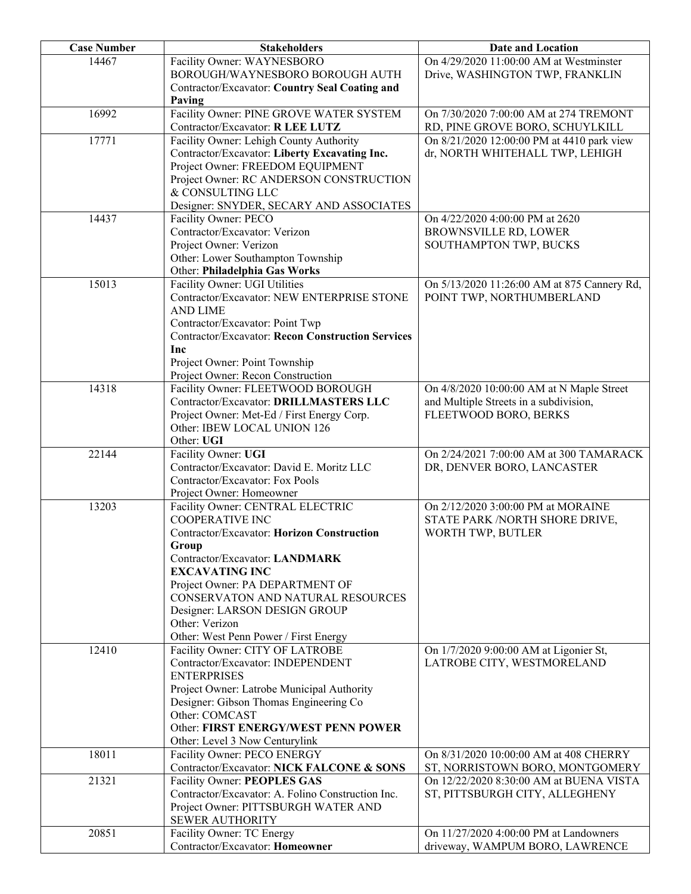| <b>Case Number</b> | <b>Stakeholders</b>                                      | Date and Location                           |
|--------------------|----------------------------------------------------------|---------------------------------------------|
| 14467              | Facility Owner: WAYNESBORO                               | On 4/29/2020 11:00:00 AM at Westminster     |
|                    | BOROUGH/WAYNESBORO BOROUGH AUTH                          | Drive, WASHINGTON TWP, FRANKLIN             |
|                    | Contractor/Excavator: Country Seal Coating and           |                                             |
|                    | Paving                                                   |                                             |
| 16992              | Facility Owner: PINE GROVE WATER SYSTEM                  | On 7/30/2020 7:00:00 AM at 274 TREMONT      |
|                    | Contractor/Excavator: R LEE LUTZ                         | RD, PINE GROVE BORO, SCHUYLKILL             |
| 17771              | Facility Owner: Lehigh County Authority                  | On 8/21/2020 12:00:00 PM at 4410 park view  |
|                    | Contractor/Excavator: Liberty Excavating Inc.            | dr, NORTH WHITEHALL TWP, LEHIGH             |
|                    | Project Owner: FREEDOM EQUIPMENT                         |                                             |
|                    | Project Owner: RC ANDERSON CONSTRUCTION                  |                                             |
|                    | & CONSULTING LLC                                         |                                             |
|                    | Designer: SNYDER, SECARY AND ASSOCIATES                  |                                             |
| 14437              | Facility Owner: PECO                                     | On 4/22/2020 4:00:00 PM at 2620             |
|                    | Contractor/Excavator: Verizon                            | BROWNSVILLE RD, LOWER                       |
|                    | Project Owner: Verizon                                   | SOUTHAMPTON TWP, BUCKS                      |
|                    | Other: Lower Southampton Township                        |                                             |
|                    | Other: Philadelphia Gas Works                            |                                             |
| 15013              | Facility Owner: UGI Utilities                            | On 5/13/2020 11:26:00 AM at 875 Cannery Rd, |
|                    | Contractor/Excavator: NEW ENTERPRISE STONE               | POINT TWP, NORTHUMBERLAND                   |
|                    | <b>AND LIME</b>                                          |                                             |
|                    | Contractor/Excavator: Point Twp                          |                                             |
|                    | <b>Contractor/Excavator: Recon Construction Services</b> |                                             |
|                    | Inc                                                      |                                             |
|                    | Project Owner: Point Township                            |                                             |
|                    | Project Owner: Recon Construction                        |                                             |
| 14318              | Facility Owner: FLEETWOOD BOROUGH                        | On 4/8/2020 10:00:00 AM at N Maple Street   |
|                    | Contractor/Excavator: DRILLMASTERS LLC                   | and Multiple Streets in a subdivision,      |
|                    | Project Owner: Met-Ed / First Energy Corp.               | FLEETWOOD BORO, BERKS                       |
|                    | Other: IBEW LOCAL UNION 126                              |                                             |
|                    | Other: UGI                                               |                                             |
| 22144              | Facility Owner: UGI                                      | On 2/24/2021 7:00:00 AM at 300 TAMARACK     |
|                    | Contractor/Excavator: David E. Moritz LLC                | DR, DENVER BORO, LANCASTER                  |
|                    | Contractor/Excavator: Fox Pools                          |                                             |
|                    | Project Owner: Homeowner                                 |                                             |
| 13203              | Facility Owner: CENTRAL ELECTRIC                         | On 2/12/2020 3:00:00 PM at MORAINE          |
|                    | <b>COOPERATIVE INC</b>                                   | STATE PARK / NORTH SHORE DRIVE,             |
|                    | Contractor/Excavator: Horizon Construction               | WORTH TWP, BUTLER                           |
|                    | Group                                                    |                                             |
|                    | Contractor/Excavator: LANDMARK                           |                                             |
|                    | <b>EXCAVATING INC</b>                                    |                                             |
|                    | Project Owner: PA DEPARTMENT OF                          |                                             |
|                    | CONSERVATON AND NATURAL RESOURCES                        |                                             |
|                    | Designer: LARSON DESIGN GROUP                            |                                             |
|                    | Other: Verizon                                           |                                             |
|                    | Other: West Penn Power / First Energy                    |                                             |
| 12410              | Facility Owner: CITY OF LATROBE                          | On 1/7/2020 9:00:00 AM at Ligonier St,      |
|                    | Contractor/Excavator: INDEPENDENT                        | LATROBE CITY, WESTMORELAND                  |
|                    | <b>ENTERPRISES</b>                                       |                                             |
|                    | Project Owner: Latrobe Municipal Authority               |                                             |
|                    | Designer: Gibson Thomas Engineering Co                   |                                             |
|                    | Other: COMCAST                                           |                                             |
|                    | Other: FIRST ENERGY/WEST PENN POWER                      |                                             |
|                    | Other: Level 3 Now Centurylink                           |                                             |
| 18011              | Facility Owner: PECO ENERGY                              | On 8/31/2020 10:00:00 AM at 408 CHERRY      |
|                    | Contractor/Excavator: NICK FALCONE & SONS                | ST, NORRISTOWN BORO, MONTGOMERY             |
| 21321              | Facility Owner: PEOPLES GAS                              | On 12/22/2020 8:30:00 AM at BUENA VISTA     |
|                    | Contractor/Excavator: A. Folino Construction Inc.        | ST, PITTSBURGH CITY, ALLEGHENY              |
|                    | Project Owner: PITTSBURGH WATER AND                      |                                             |
|                    | <b>SEWER AUTHORITY</b>                                   |                                             |
| 20851              | Facility Owner: TC Energy                                | On 11/27/2020 4:00:00 PM at Landowners      |
|                    | Contractor/Excavator: Homeowner                          | driveway, WAMPUM BORO, LAWRENCE             |